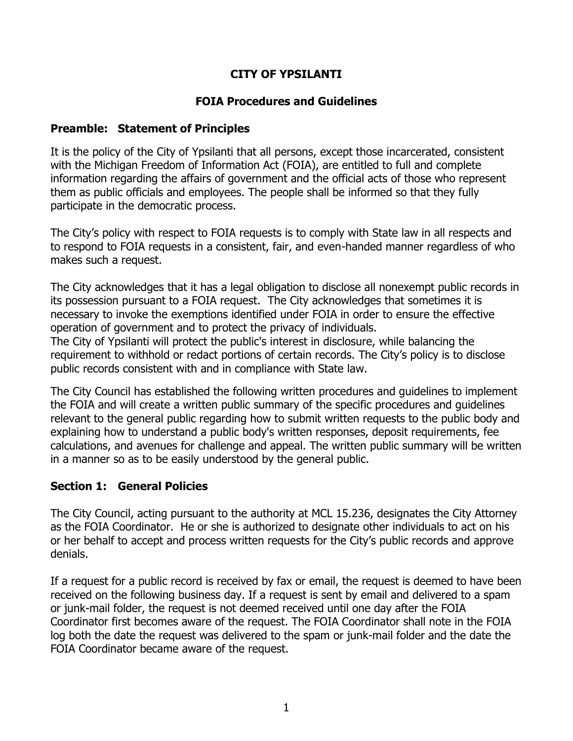## **CITY OF YPSILANTI**

### **FOIA Procedures and Guidelines**

#### **Preamble: Statement of Principles**

It is the policy of the City of Ypsilanti that all persons, except those incarcerated, consistent with the Michigan Freedom of Information Act (FOIA), are entitled to full and complete information regarding the affairs of government and the official acts of those who represent them as public officials and employees. The people shall be informed so that they fully participate in the democratic process.

The City's policy with respect to FOIA requests is to comply with State law in all respects and to respond to FOIA requests in a consistent, fair, and even-handed manner regardless of who makes such a request.

The City acknowledges that it has a legal obligation to disclose all nonexempt public records in its possession pursuant to a FOIA request. The City acknowledges that sometimes it is necessary to invoke the exemptions identified under FOIA in order to ensure the effective operation of government and to protect the privacy of individuals.

The City of Ypsilanti will protect the public's interest in disclosure, while balancing the requirement to withhold or redact portions of certain records. The City's policy is to disclose public records consistent with and in compliance with State law.

The City Council has established the following written procedures and guidelines to implement the FOIA and will create a written public summary of the specific procedures and guidelines relevant to the general public regarding how to submit written requests to the public body and explaining how to understand a public body's written responses, deposit requirements, fee calculations, and avenues for challenge and appeal. The written public summary will be written in a manner so as to be easily understood by the general public.

### **Section 1: General Policies**

The City Council, acting pursuant to the authority at MCL 15.236, designates the City Attorney as the FOIA Coordinator. He or she is authorized to designate other individuals to act on his or her behalf to accept and process written requests for the City's public records and approve denials.

If a request for a public record is received by fax or email, the request is deemed to have been received on the following business day. If a request is sent by email and delivered to a spam or junk-mail folder, the request is not deemed received until one day after the FOIA Coordinator first becomes aware of the request. The FOIA Coordinator shall note in the FOIA log both the date the request was delivered to the spam or junk-mail folder and the date the FOIA Coordinator became aware of the request.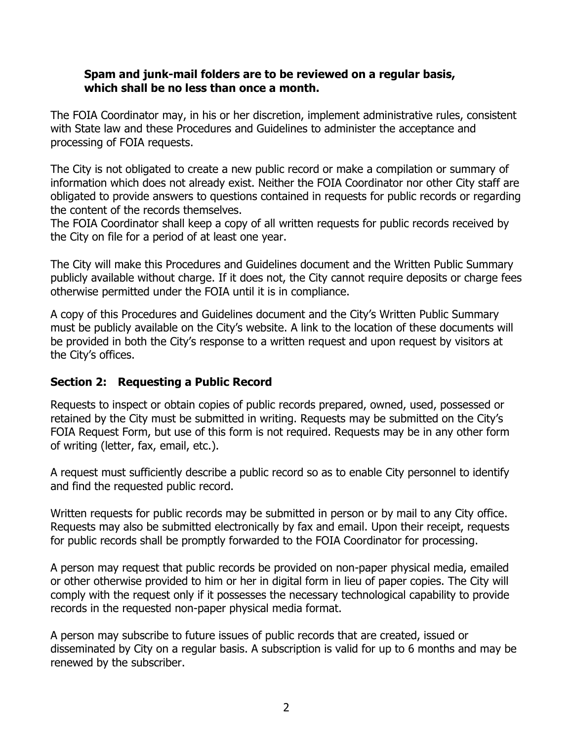#### **Spam and junk-mail folders are to be reviewed on a regular basis, which shall be no less than once a month.**

The FOIA Coordinator may, in his or her discretion, implement administrative rules, consistent with State law and these Procedures and Guidelines to administer the acceptance and processing of FOIA requests.

The City is not obligated to create a new public record or make a compilation or summary of information which does not already exist. Neither the FOIA Coordinator nor other City staff are obligated to provide answers to questions contained in requests for public records or regarding the content of the records themselves.

The FOIA Coordinator shall keep a copy of all written requests for public records received by the City on file for a period of at least one year.

The City will make this Procedures and Guidelines document and the Written Public Summary publicly available without charge. If it does not, the City cannot require deposits or charge fees otherwise permitted under the FOIA until it is in compliance.

A copy of this Procedures and Guidelines document and the City's Written Public Summary must be publicly available on the City's website. A link to the location of these documents will be provided in both the City's response to a written request and upon request by visitors at the City's offices.

### **Section 2: Requesting a Public Record**

Requests to inspect or obtain copies of public records prepared, owned, used, possessed or retained by the City must be submitted in writing. Requests may be submitted on the City's FOIA Request Form, but use of this form is not required. Requests may be in any other form of writing (letter, fax, email, etc.).

A request must sufficiently describe a public record so as to enable City personnel to identify and find the requested public record.

Written requests for public records may be submitted in person or by mail to any City office. Requests may also be submitted electronically by fax and email. Upon their receipt, requests for public records shall be promptly forwarded to the FOIA Coordinator for processing.

A person may request that public records be provided on non-paper physical media, emailed or other otherwise provided to him or her in digital form in lieu of paper copies. The City will comply with the request only if it possesses the necessary technological capability to provide records in the requested non-paper physical media format.

A person may subscribe to future issues of public records that are created, issued or disseminated by City on a regular basis. A subscription is valid for up to 6 months and may be renewed by the subscriber.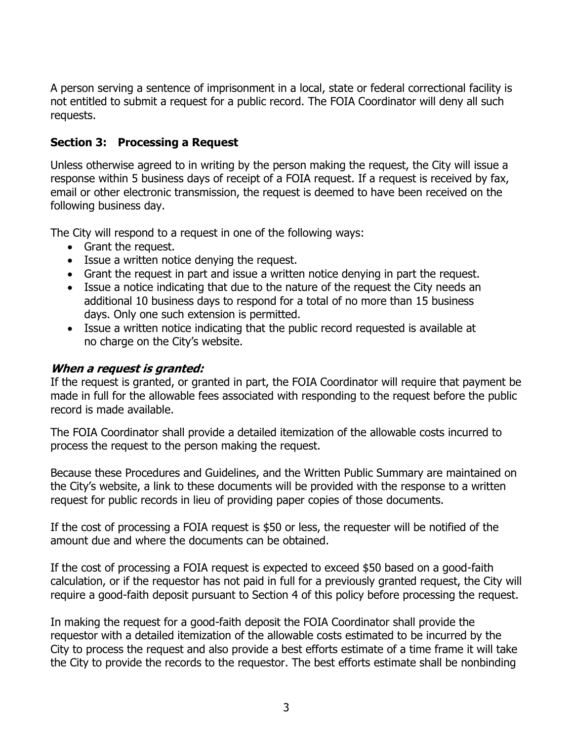A person serving a sentence of imprisonment in a local, state or federal correctional facility is not entitled to submit a request for a public record. The FOIA Coordinator will deny all such requests.

### **Section 3: Processing a Request**

Unless otherwise agreed to in writing by the person making the request, the City will issue a response within 5 business days of receipt of a FOIA request. If a request is received by fax, email or other electronic transmission, the request is deemed to have been received on the following business day.

The City will respond to a request in one of the following ways:

- Grant the request.
- Issue a written notice denying the request.
- Grant the request in part and issue a written notice denying in part the request.
- Issue a notice indicating that due to the nature of the request the City needs an additional 10 business days to respond for a total of no more than 15 business days. Only one such extension is permitted.
- Issue a written notice indicating that the public record requested is available at no charge on the City's website.

#### **When a request is granted:**

If the request is granted, or granted in part, the FOIA Coordinator will require that payment be made in full for the allowable fees associated with responding to the request before the public record is made available.

The FOIA Coordinator shall provide a detailed itemization of the allowable costs incurred to process the request to the person making the request.

Because these Procedures and Guidelines, and the Written Public Summary are maintained on the City's website, a link to these documents will be provided with the response to a written request for public records in lieu of providing paper copies of those documents.

If the cost of processing a FOIA request is \$50 or less, the requester will be notified of the amount due and where the documents can be obtained.

If the cost of processing a FOIA request is expected to exceed \$50 based on a good-faith calculation, or if the requestor has not paid in full for a previously granted request, the City will require a good-faith deposit pursuant to Section 4 of this policy before processing the request.

In making the request for a good-faith deposit the FOIA Coordinator shall provide the requestor with a detailed itemization of the allowable costs estimated to be incurred by the City to process the request and also provide a best efforts estimate of a time frame it will take the City to provide the records to the requestor. The best efforts estimate shall be nonbinding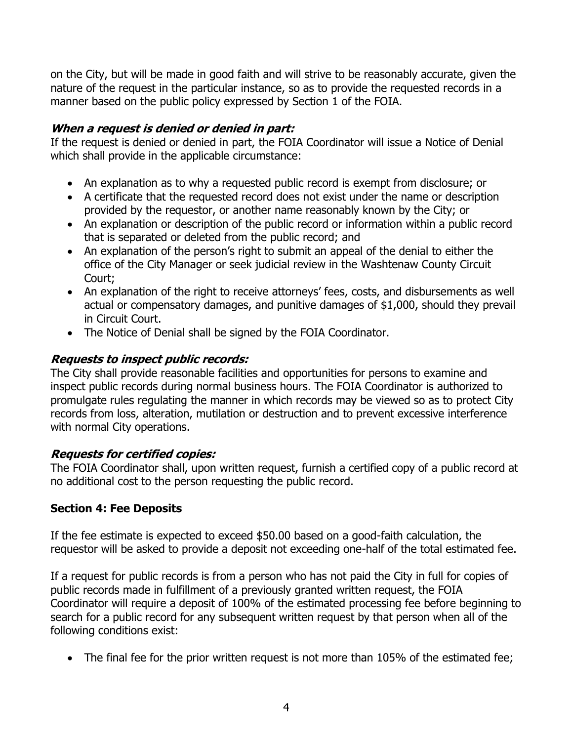on the City, but will be made in good faith and will strive to be reasonably accurate, given the nature of the request in the particular instance, so as to provide the requested records in a manner based on the public policy expressed by Section 1 of the FOIA.

#### **When a request is denied or denied in part:**

If the request is denied or denied in part, the FOIA Coordinator will issue a Notice of Denial which shall provide in the applicable circumstance:

- An explanation as to why a requested public record is exempt from disclosure; or
- A certificate that the requested record does not exist under the name or description provided by the requestor, or another name reasonably known by the City; or
- An explanation or description of the public record or information within a public record that is separated or deleted from the public record; and
- An explanation of the person's right to submit an appeal of the denial to either the office of the City Manager or seek judicial review in the Washtenaw County Circuit Court;
- An explanation of the right to receive attorneys' fees, costs, and disbursements as well actual or compensatory damages, and punitive damages of \$1,000, should they prevail in Circuit Court.
- The Notice of Denial shall be signed by the FOIA Coordinator.

### **Requests to inspect public records:**

The City shall provide reasonable facilities and opportunities for persons to examine and inspect public records during normal business hours. The FOIA Coordinator is authorized to promulgate rules regulating the manner in which records may be viewed so as to protect City records from loss, alteration, mutilation or destruction and to prevent excessive interference with normal City operations.

### **Requests for certified copies:**

The FOIA Coordinator shall, upon written request, furnish a certified copy of a public record at no additional cost to the person requesting the public record.

### **Section 4: Fee Deposits**

If the fee estimate is expected to exceed \$50.00 based on a good-faith calculation, the requestor will be asked to provide a deposit not exceeding one-half of the total estimated fee.

If a request for public records is from a person who has not paid the City in full for copies of public records made in fulfillment of a previously granted written request, the FOIA Coordinator will require a deposit of 100% of the estimated processing fee before beginning to search for a public record for any subsequent written request by that person when all of the following conditions exist:

• The final fee for the prior written request is not more than 105% of the estimated fee;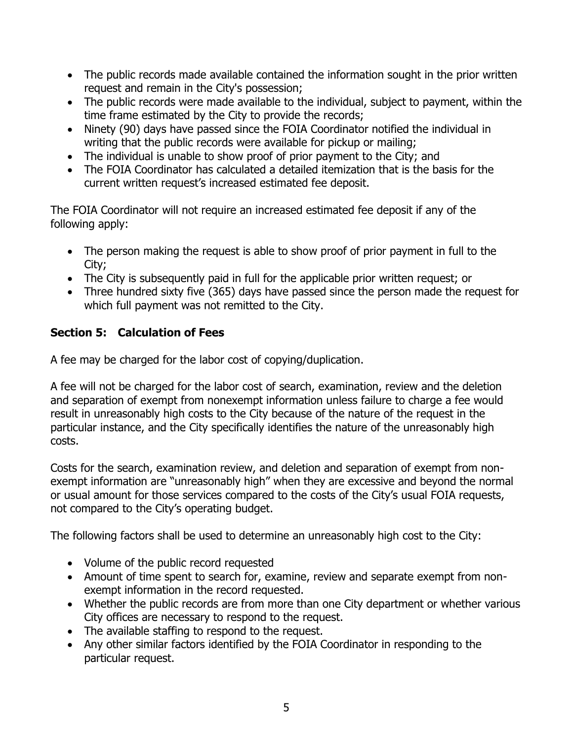- The public records made available contained the information sought in the prior written request and remain in the City's possession;
- The public records were made available to the individual, subject to payment, within the time frame estimated by the City to provide the records;
- Ninety (90) days have passed since the FOIA Coordinator notified the individual in writing that the public records were available for pickup or mailing;
- The individual is unable to show proof of prior payment to the City; and
- The FOIA Coordinator has calculated a detailed itemization that is the basis for the current written request's increased estimated fee deposit.

The FOIA Coordinator will not require an increased estimated fee deposit if any of the following apply:

- The person making the request is able to show proof of prior payment in full to the City;
- The City is subsequently paid in full for the applicable prior written request; or
- Three hundred sixty five (365) days have passed since the person made the request for which full payment was not remitted to the City.

# **Section 5: Calculation of Fees**

A fee may be charged for the labor cost of copying/duplication.

A fee will not be charged for the labor cost of search, examination, review and the deletion and separation of exempt from nonexempt information unless failure to charge a fee would result in unreasonably high costs to the City because of the nature of the request in the particular instance, and the City specifically identifies the nature of the unreasonably high costs.

Costs for the search, examination review, and deletion and separation of exempt from nonexempt information are "unreasonably high" when they are excessive and beyond the normal or usual amount for those services compared to the costs of the City's usual FOIA requests, not compared to the City's operating budget.

The following factors shall be used to determine an unreasonably high cost to the City:

- Volume of the public record requested
- Amount of time spent to search for, examine, review and separate exempt from nonexempt information in the record requested.
- Whether the public records are from more than one City department or whether various City offices are necessary to respond to the request.
- The available staffing to respond to the request.
- Any other similar factors identified by the FOIA Coordinator in responding to the particular request.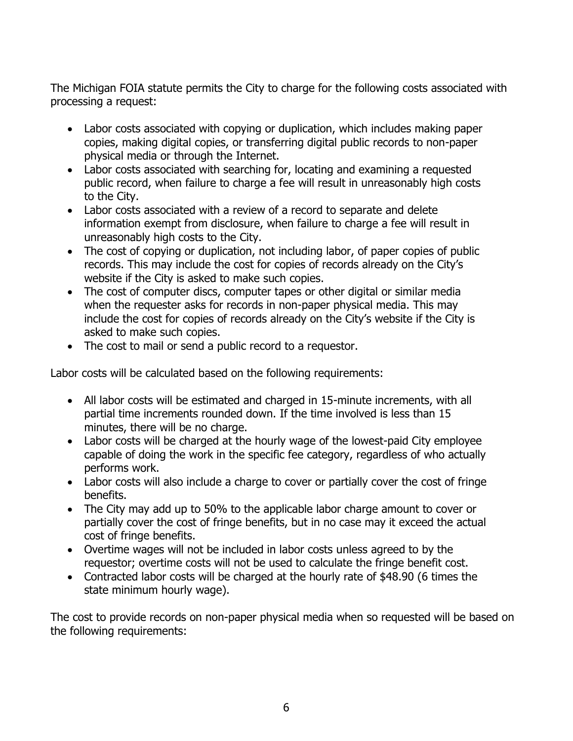The Michigan FOIA statute permits the City to charge for the following costs associated with processing a request:

- Labor costs associated with copying or duplication, which includes making paper copies, making digital copies, or transferring digital public records to non-paper physical media or through the Internet.
- Labor costs associated with searching for, locating and examining a requested public record, when failure to charge a fee will result in unreasonably high costs to the City.
- Labor costs associated with a review of a record to separate and delete information exempt from disclosure, when failure to charge a fee will result in unreasonably high costs to the City.
- The cost of copying or duplication, not including labor, of paper copies of public records. This may include the cost for copies of records already on the City's website if the City is asked to make such copies.
- The cost of computer discs, computer tapes or other digital or similar media when the requester asks for records in non-paper physical media. This may include the cost for copies of records already on the City's website if the City is asked to make such copies.
- The cost to mail or send a public record to a requestor.

Labor costs will be calculated based on the following requirements:

- All labor costs will be estimated and charged in 15-minute increments, with all partial time increments rounded down. If the time involved is less than 15 minutes, there will be no charge.
- Labor costs will be charged at the hourly wage of the lowest-paid City employee capable of doing the work in the specific fee category, regardless of who actually performs work.
- Labor costs will also include a charge to cover or partially cover the cost of fringe benefits.
- The City may add up to 50% to the applicable labor charge amount to cover or partially cover the cost of fringe benefits, but in no case may it exceed the actual cost of fringe benefits.
- Overtime wages will not be included in labor costs unless agreed to by the requestor; overtime costs will not be used to calculate the fringe benefit cost.
- Contracted labor costs will be charged at the hourly rate of \$48.90 (6 times the state minimum hourly wage).

The cost to provide records on non-paper physical media when so requested will be based on the following requirements: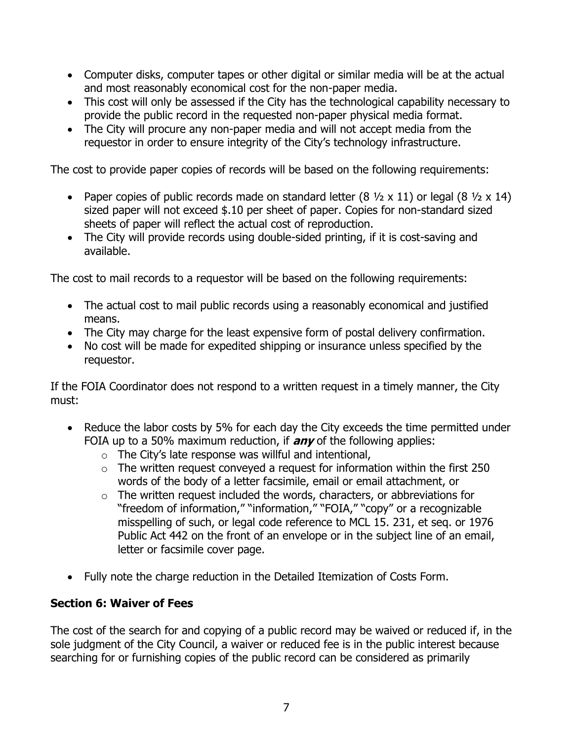- Computer disks, computer tapes or other digital or similar media will be at the actual and most reasonably economical cost for the non-paper media.
- This cost will only be assessed if the City has the technological capability necessary to provide the public record in the requested non-paper physical media format.
- The City will procure any non-paper media and will not accept media from the requestor in order to ensure integrity of the City's technology infrastructure.

The cost to provide paper copies of records will be based on the following requirements:

- Paper copies of public records made on standard letter  $(8 \frac{1}{2} \times 11)$  or legal  $(8 \frac{1}{2} \times 14)$ sized paper will not exceed \$.10 per sheet of paper. Copies for non-standard sized sheets of paper will reflect the actual cost of reproduction.
- The City will provide records using double-sided printing, if it is cost-saving and available.

The cost to mail records to a requestor will be based on the following requirements:

- The actual cost to mail public records using a reasonably economical and justified means.
- The City may charge for the least expensive form of postal delivery confirmation.
- No cost will be made for expedited shipping or insurance unless specified by the requestor.

If the FOIA Coordinator does not respond to a written request in a timely manner, the City must:

- Reduce the labor costs by 5% for each day the City exceeds the time permitted under FOIA up to a 50% maximum reduction, if **any** of the following applies:
	- $\circ$  The City's late response was willful and intentional,
	- $\circ$  The written request conveyed a request for information within the first 250 words of the body of a letter facsimile, email or email attachment, or
	- $\circ$  The written request included the words, characters, or abbreviations for "freedom of information," "information," "FOIA," "copy" or a recognizable misspelling of such, or legal code reference to MCL 15. 231, et seq. or 1976 Public Act 442 on the front of an envelope or in the subject line of an email, letter or facsimile cover page.
- Fully note the charge reduction in the Detailed Itemization of Costs Form.

### **Section 6: Waiver of Fees**

The cost of the search for and copying of a public record may be waived or reduced if, in the sole judgment of the City Council, a waiver or reduced fee is in the public interest because searching for or furnishing copies of the public record can be considered as primarily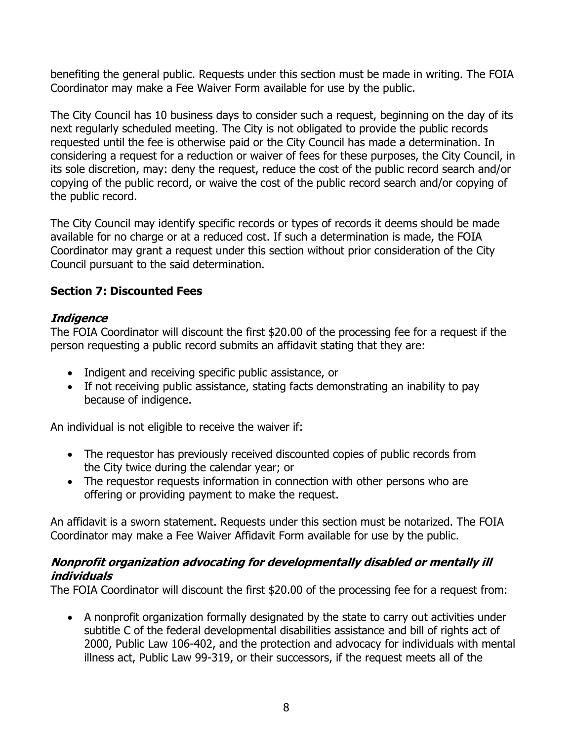benefiting the general public. Requests under this section must be made in writing. The FOIA Coordinator may make a Fee Waiver Form available for use by the public.

The City Council has 10 business days to consider such a request, beginning on the day of its next regularly scheduled meeting. The City is not obligated to provide the public records requested until the fee is otherwise paid or the City Council has made a determination. In considering a request for a reduction or waiver of fees for these purposes, the City Council, in its sole discretion, may: deny the request, reduce the cost of the public record search and/or copying of the public record, or waive the cost of the public record search and/or copying of the public record.

The City Council may identify specific records or types of records it deems should be made available for no charge or at a reduced cost. If such a determination is made, the FOIA Coordinator may grant a request under this section without prior consideration of the City Council pursuant to the said determination.

### **Section 7: Discounted Fees**

#### **Indigence**

The FOIA Coordinator will discount the first \$20.00 of the processing fee for a request if the person requesting a public record submits an affidavit stating that they are:

- Indigent and receiving specific public assistance, or
- If not receiving public assistance, stating facts demonstrating an inability to pay because of indigence.

An individual is not eligible to receive the waiver if:

- The requestor has previously received discounted copies of public records from the City twice during the calendar year; or
- The requestor requests information in connection with other persons who are offering or providing payment to make the request.

An affidavit is a sworn statement. Requests under this section must be notarized. The FOIA Coordinator may make a Fee Waiver Affidavit Form available for use by the public.

#### **Nonprofit organization advocating for developmentally disabled or mentally ill individuals**

The FOIA Coordinator will discount the first \$20.00 of the processing fee for a request from:

• A nonprofit organization formally designated by the state to carry out activities under subtitle C of the federal developmental disabilities assistance and bill of rights act of 2000, Public Law 106-402, and the protection and advocacy for individuals with mental illness act, Public Law 99-319, or their successors, if the request meets all of the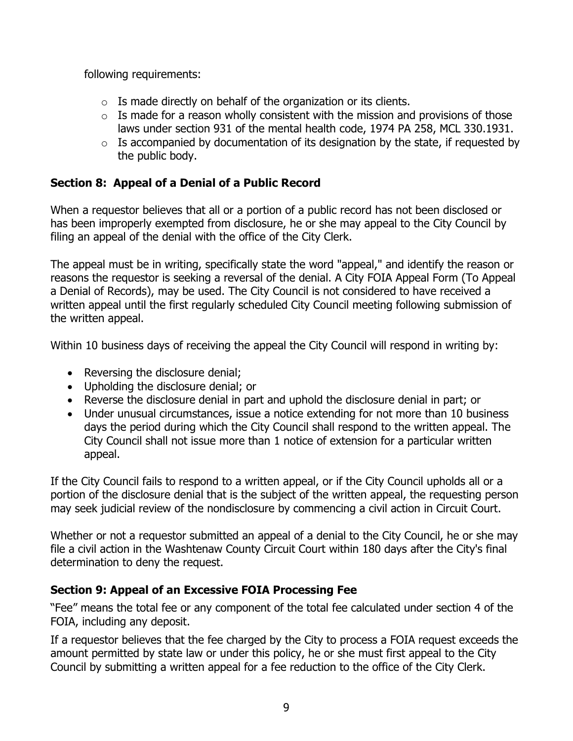following requirements:

- $\circ$  Is made directly on behalf of the organization or its clients.
- $\circ$  Is made for a reason wholly consistent with the mission and provisions of those laws under section 931 of the mental health code, 1974 PA 258, MCL 330.1931.
- $\circ$  Is accompanied by documentation of its designation by the state, if requested by the public body.

## **Section 8: Appeal of a Denial of a Public Record**

When a requestor believes that all or a portion of a public record has not been disclosed or has been improperly exempted from disclosure, he or she may appeal to the City Council by filing an appeal of the denial with the office of the City Clerk.

The appeal must be in writing, specifically state the word "appeal," and identify the reason or reasons the requestor is seeking a reversal of the denial. A City FOIA Appeal Form (To Appeal a Denial of Records), may be used. The City Council is not considered to have received a written appeal until the first regularly scheduled City Council meeting following submission of the written appeal.

Within 10 business days of receiving the appeal the City Council will respond in writing by:

- Reversing the disclosure denial;
- Upholding the disclosure denial; or
- Reverse the disclosure denial in part and uphold the disclosure denial in part; or
- Under unusual circumstances, issue a notice extending for not more than 10 business days the period during which the City Council shall respond to the written appeal. The City Council shall not issue more than 1 notice of extension for a particular written appeal.

If the City Council fails to respond to a written appeal, or if the City Council upholds all or a portion of the disclosure denial that is the subject of the written appeal, the requesting person may seek judicial review of the nondisclosure by commencing a civil action in Circuit Court.

Whether or not a requestor submitted an appeal of a denial to the City Council, he or she may file a civil action in the Washtenaw County Circuit Court within 180 days after the City's final determination to deny the request.

# **Section 9: Appeal of an Excessive FOIA Processing Fee**

"Fee" means the total fee or any component of the total fee calculated under section 4 of the FOIA, including any deposit.

If a requestor believes that the fee charged by the City to process a FOIA request exceeds the amount permitted by state law or under this policy, he or she must first appeal to the City Council by submitting a written appeal for a fee reduction to the office of the City Clerk.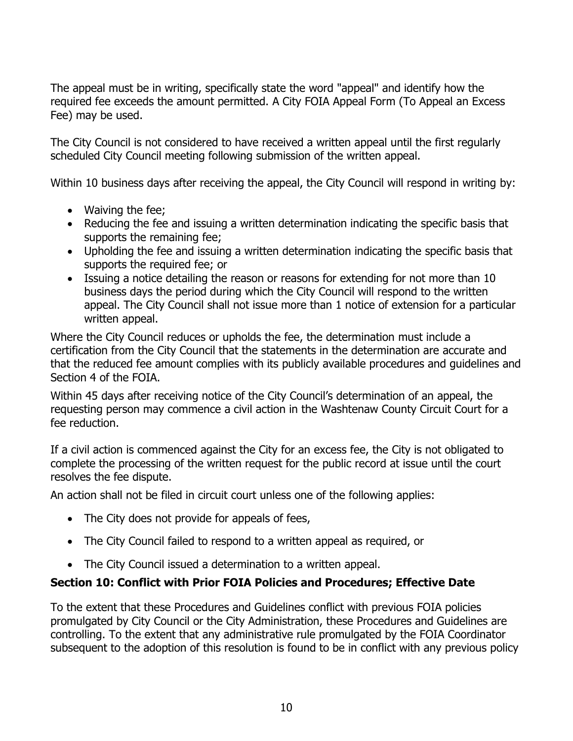The appeal must be in writing, specifically state the word "appeal" and identify how the required fee exceeds the amount permitted. A City FOIA Appeal Form (To Appeal an Excess Fee) may be used.

The City Council is not considered to have received a written appeal until the first regularly scheduled City Council meeting following submission of the written appeal.

Within 10 business days after receiving the appeal, the City Council will respond in writing by:

- Waiving the fee;
- Reducing the fee and issuing a written determination indicating the specific basis that supports the remaining fee;
- Upholding the fee and issuing a written determination indicating the specific basis that supports the required fee; or
- Issuing a notice detailing the reason or reasons for extending for not more than 10 business days the period during which the City Council will respond to the written appeal. The City Council shall not issue more than 1 notice of extension for a particular written appeal.

Where the City Council reduces or upholds the fee, the determination must include a certification from the City Council that the statements in the determination are accurate and that the reduced fee amount complies with its publicly available procedures and guidelines and Section 4 of the FOIA.

Within 45 days after receiving notice of the City Council's determination of an appeal, the requesting person may commence a civil action in the Washtenaw County Circuit Court for a fee reduction.

If a civil action is commenced against the City for an excess fee, the City is not obligated to complete the processing of the written request for the public record at issue until the court resolves the fee dispute.

An action shall not be filed in circuit court unless one of the following applies:

- The City does not provide for appeals of fees,
- The City Council failed to respond to a written appeal as required, or
- The City Council issued a determination to a written appeal.

# **Section 10: Conflict with Prior FOIA Policies and Procedures; Effective Date**

To the extent that these Procedures and Guidelines conflict with previous FOIA policies promulgated by City Council or the City Administration, these Procedures and Guidelines are controlling. To the extent that any administrative rule promulgated by the FOIA Coordinator subsequent to the adoption of this resolution is found to be in conflict with any previous policy